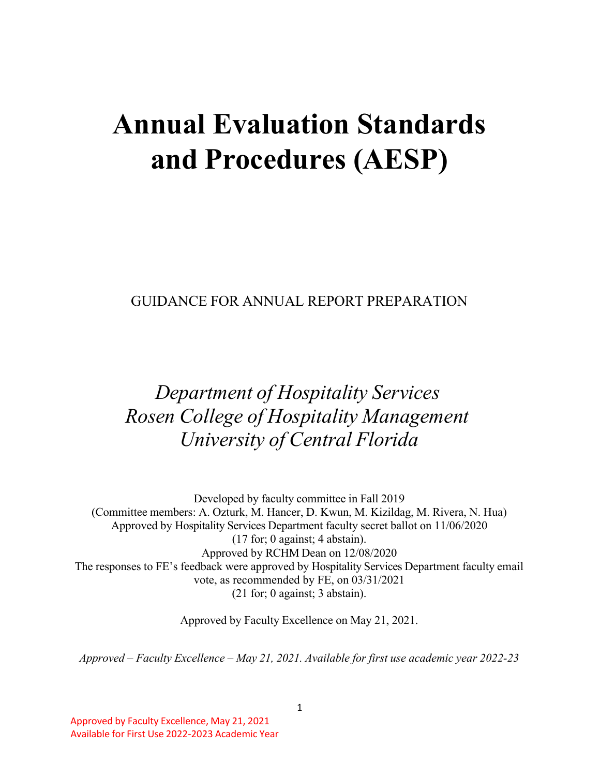# **Annual Evaluation Standards and Procedures (AESP)**

GUIDANCE FOR ANNUAL REPORT PREPARATION

# *Department of Hospitality Services Rosen College of Hospitality Management University of Central Florida*

Developed by faculty committee in Fall 2019 (Committee members: A. Ozturk, M. Hancer, D. Kwun, M. Kizildag, M. Rivera, N. Hua) Approved by Hospitality Services Department faculty secret ballot on 11/06/2020 (17 for; 0 against; 4 abstain). Approved by RCHM Dean on 12/08/2020 The responses to FE's feedback were approved by Hospitality Services Department faculty email vote, as recommended by FE, on 03/31/2021 (21 for; 0 against; 3 abstain).

Approved by Faculty Excellence on May 21, 2021.

*Approved – Faculty Excellence – May 21, 2021. Available for first use academic year 2022-23*

Approved by Faculty Excellence, May 21, 2021 Available for First Use 2022-2023 Academic Year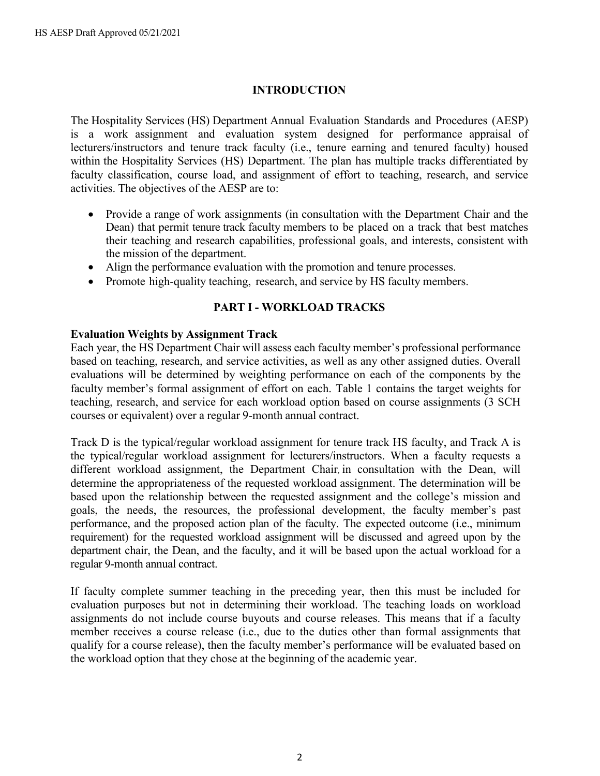#### **INTRODUCTION**

The Hospitality Services (HS) Department Annual Evaluation Standards and Procedures (AESP) is a work assignment and evaluation system designed for performance appraisal of lecturers/instructors and tenure track faculty (i.e., tenure earning and tenured faculty) housed within the Hospitality Services (HS) Department. The plan has multiple tracks differentiated by faculty classification, course load, and assignment of effort to teaching, research, and service activities. The objectives of the AESP are to:

- Provide a range of work assignments (in consultation with the Department Chair and the Dean) that permit tenure track faculty members to be placed on a track that best matches their teaching and research capabilities, professional goals, and interests, consistent with the mission of the department.
- Align the performance evaluation with the promotion and tenure processes.
- Promote high-quality teaching, research, and service by HS faculty members.

#### **PART I - WORKLOAD TRACKS**

#### **Evaluation Weights by Assignment Track**

Each year, the HS Department Chair will assess each faculty member's professional performance based on teaching, research, and service activities, as well as any other assigned duties. Overall evaluations will be determined by weighting performance on each of the components by the faculty member's formal assignment of effort on each. Table 1 contains the target weights for teaching, research, and service for each workload option based on course assignments (3 SCH courses or equivalent) over a regular 9-month annual contract.

Track D is the typical/regular workload assignment for tenure track HS faculty, and Track A is the typical/regular workload assignment for lecturers/instructors. When a faculty requests a different workload assignment, the Department Chair, in consultation with the Dean, will determine the appropriateness of the requested workload assignment. The determination will be based upon the relationship between the requested assignment and the college's mission and goals, the needs, the resources, the professional development, the faculty member's past performance, and the proposed action plan of the faculty. The expected outcome (i.e., minimum requirement) for the requested workload assignment will be discussed and agreed upon by the department chair, the Dean, and the faculty, and it will be based upon the actual workload for a regular 9-month annual contract.

If faculty complete summer teaching in the preceding year, then this must be included for evaluation purposes but not in determining their workload. The teaching loads on workload assignments do not include course buyouts and course releases. This means that if a faculty member receives a course release (i.e., due to the duties other than formal assignments that qualify for a course release), then the faculty member's performance will be evaluated based on the workload option that they chose at the beginning of the academic year.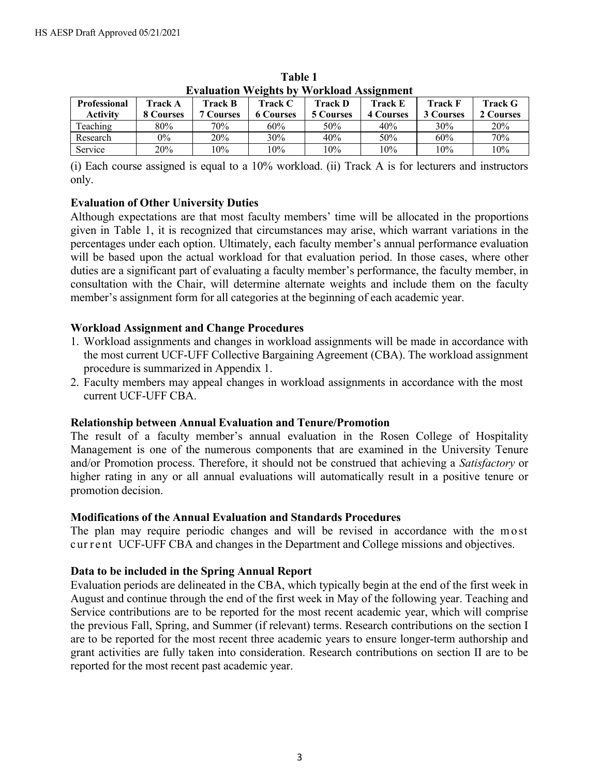| Evaluation Weights by Wolkfoau Assignment |                |                  |                  |                  |                  |                  |           |  |
|-------------------------------------------|----------------|------------------|------------------|------------------|------------------|------------------|-----------|--|
| <b>Professional</b>                       | <b>Track A</b> | Track B          | Track C          | <b>Track D</b>   | <b>Track E</b>   | <b>Track F</b>   | Track G   |  |
| Activity                                  | 8 Courses      | <b>7 Courses</b> | <b>6 Courses</b> | <b>5 Courses</b> | <b>4 Courses</b> | <b>3 Courses</b> | 2 Courses |  |
| Teaching                                  | 80%            | 70%              | 60%              | 50%              | 40%              | 30%              | 20%       |  |
| Research                                  | 0%             | 20%              | 30%              | 40%              | 50%              | 60%              | 70%       |  |
| Service                                   | 20%            | 10%              | 10%              | 10%              | 10%              | 10%              | 10%       |  |

**Table 1 Evaluation Weights by Workload Assignment**

(i) Each course assigned is equal to a 10% workload. (ii) Track A is for lecturers and instructors only.

# **Evaluation of Other University Duties**

Although expectations are that most faculty members' time will be allocated in the proportions given in Table 1, it is recognized that circumstances may arise, which warrant variations in the percentages under each option. Ultimately, each faculty member's annual performance evaluation will be based upon the actual workload for that evaluation period. In those cases, where other duties are a significant part of evaluating a faculty member's performance, the faculty member, in consultation with the Chair, will determine alternate weights and include them on the faculty member's assignment form for all categories at the beginning of each academic year.

# **Workload Assignment and Change Procedures**

- 1. Workload assignments and changes in workload assignments will be made in accordance with the most current UCF-UFF Collective Bargaining Agreement (CBA). The workload assignment procedure is summarized in Appendix 1.
- 2. Faculty members may appeal changes in workload assignments in accordance with the most current UCF-UFF CBA.

# **Relationship between Annual Evaluation and Tenure/Promotion**

The result of a faculty member's annual evaluation in the Rosen College of Hospitality Management is one of the numerous components that are examined in the University Tenure and/or Promotion process. Therefore, it should not be construed that achieving a *Satisfactory* or higher rating in any or all annual evaluations will automatically result in a positive tenure or promotion decision.

# **Modifications of the Annual Evaluation and Standards Procedures**

The plan may require periodic changes and will be revised in accordance with the mo st cur r e nt UCF-UFF CBA and changes in the Department and College missions and objectives.

# **Data to be included in the Spring Annual Report**

Evaluation periods are delineated in the CBA, which typically begin at the end of the first week in August and continue through the end of the first week in May of the following year. Teaching and Service contributions are to be reported for the most recent academic year, which will comprise the previous Fall, Spring, and Summer (if relevant) terms. Research contributions on the section I are to be reported for the most recent three academic years to ensure longer-term authorship and grant activities are fully taken into consideration. Research contributions on section II are to be reported for the most recent past academic year.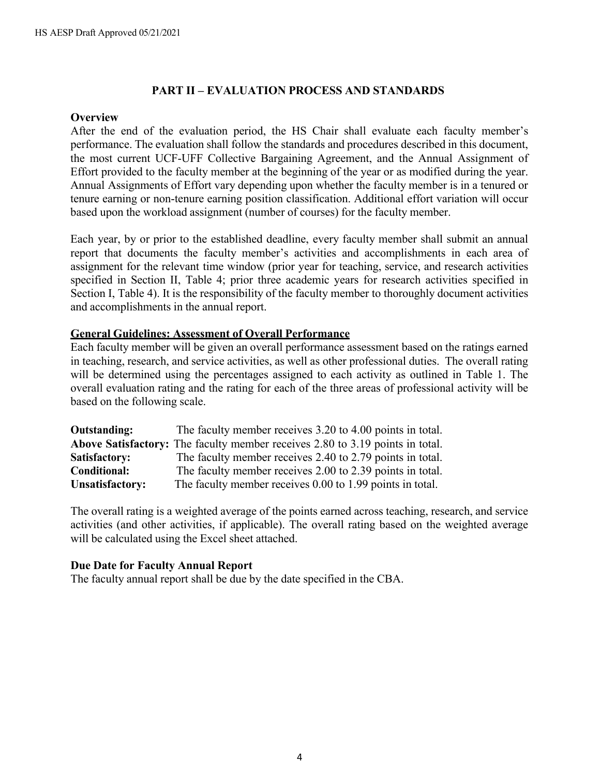#### **PART II – EVALUATION PROCESS AND STANDARDS**

#### **Overview**

After the end of the evaluation period, the HS Chair shall evaluate each faculty member's performance. The evaluation shall follow the standards and procedures described in this document, the most current UCF-UFF Collective Bargaining Agreement, and the Annual Assignment of Effort provided to the faculty member at the beginning of the year or as modified during the year. Annual Assignments of Effort vary depending upon whether the faculty member is in a tenured or tenure earning or non-tenure earning position classification. Additional effort variation will occur based upon the workload assignment (number of courses) for the faculty member.

Each year, by or prior to the established deadline, every faculty member shall submit an annual report that documents the faculty member's activities and accomplishments in each area of assignment for the relevant time window (prior year for teaching, service, and research activities specified in Section II, Table 4; prior three academic years for research activities specified in Section I, Table 4). It is the responsibility of the faculty member to thoroughly document activities and accomplishments in the annual report.

#### **General Guidelines: Assessment of Overall Performance**

Each faculty member will be given an overall performance assessment based on the ratings earned in teaching, research, and service activities, as well as other professional duties. The overall rating will be determined using the percentages assigned to each activity as outlined in Table 1. The overall evaluation rating and the rating for each of the three areas of professional activity will be based on the following scale.

| <b>Outstanding:</b>    | The faculty member receives 3.20 to 4.00 points in total.                     |
|------------------------|-------------------------------------------------------------------------------|
|                        | Above Satisfactory: The faculty member receives 2.80 to 3.19 points in total. |
| Satisfactory:          | The faculty member receives 2.40 to 2.79 points in total.                     |
| <b>Conditional:</b>    | The faculty member receives 2.00 to 2.39 points in total.                     |
| <b>Unsatisfactory:</b> | The faculty member receives 0.00 to 1.99 points in total.                     |

The overall rating is a weighted average of the points earned across teaching, research, and service activities (and other activities, if applicable). The overall rating based on the weighted average will be calculated using the Excel sheet attached.

#### **Due Date for Faculty Annual Report**

The faculty annual report shall be due by the date specified in the CBA.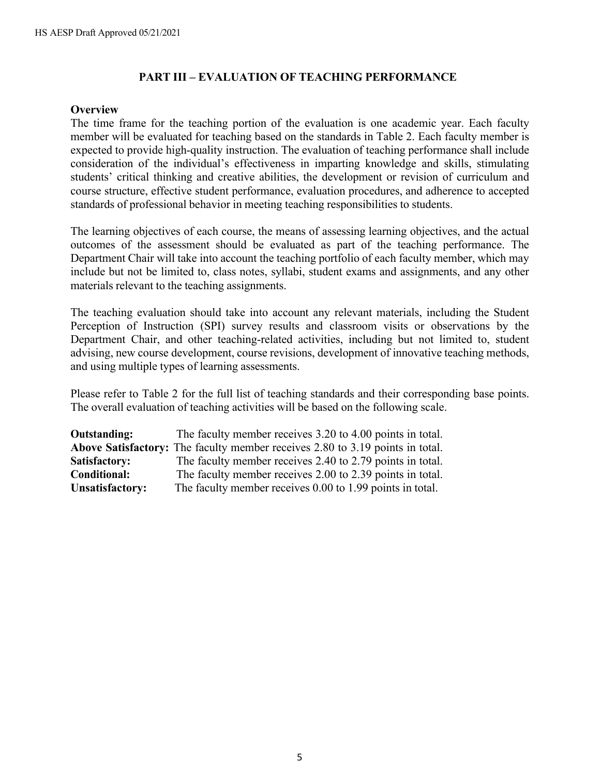#### **PART III – EVALUATION OF TEACHING PERFORMANCE**

#### **Overview**

The time frame for the teaching portion of the evaluation is one academic year. Each faculty member will be evaluated for teaching based on the standards in Table 2. Each faculty member is expected to provide high-quality instruction. The evaluation of teaching performance shall include consideration of the individual's effectiveness in imparting knowledge and skills, stimulating students' critical thinking and creative abilities, the development or revision of curriculum and course structure, effective student performance, evaluation procedures, and adherence to accepted standards of professional behavior in meeting teaching responsibilities to students.

The learning objectives of each course, the means of assessing learning objectives, and the actual outcomes of the assessment should be evaluated as part of the teaching performance. The Department Chair will take into account the teaching portfolio of each faculty member, which may include but not be limited to, class notes, syllabi, student exams and assignments, and any other materials relevant to the teaching assignments.

The teaching evaluation should take into account any relevant materials, including the Student Perception of Instruction (SPI) survey results and classroom visits or observations by the Department Chair, and other teaching-related activities, including but not limited to, student advising, new course development, course revisions, development of innovative teaching methods, and using multiple types of learning assessments.

Please refer to Table 2 for the full list of teaching standards and their corresponding base points. The overall evaluation of teaching activities will be based on the following scale.

| Outstanding:           | The faculty member receives 3.20 to 4.00 points in total.                     |
|------------------------|-------------------------------------------------------------------------------|
|                        | Above Satisfactory: The faculty member receives 2.80 to 3.19 points in total. |
| Satisfactory:          | The faculty member receives 2.40 to 2.79 points in total.                     |
| Conditional:           | The faculty member receives 2.00 to 2.39 points in total.                     |
| <b>Unsatisfactory:</b> | The faculty member receives 0.00 to 1.99 points in total.                     |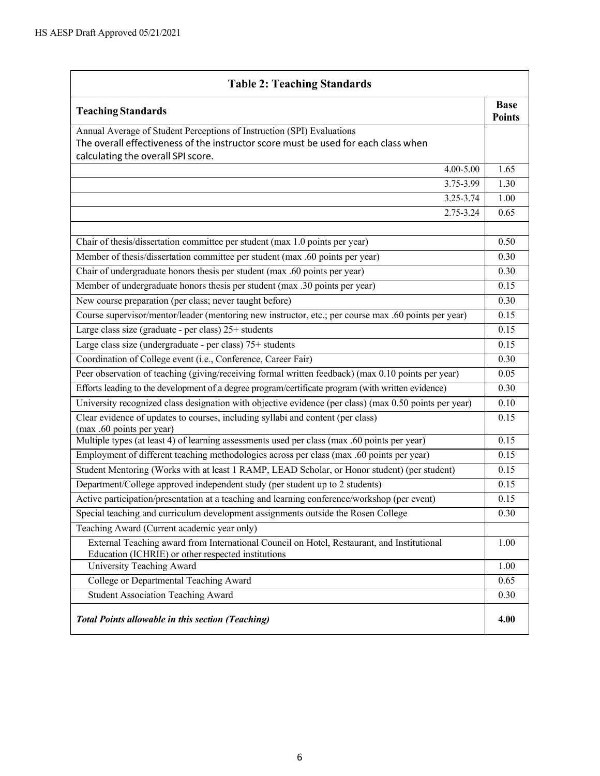| <b>Table 2: Teaching Standards</b>                                                                                                                                                                 |                              |
|----------------------------------------------------------------------------------------------------------------------------------------------------------------------------------------------------|------------------------------|
| <b>Teaching Standards</b>                                                                                                                                                                          | <b>Base</b><br><b>Points</b> |
| Annual Average of Student Perceptions of Instruction (SPI) Evaluations<br>The overall effectiveness of the instructor score must be used for each class when<br>calculating the overall SPI score. |                              |
| 4.00-5.00                                                                                                                                                                                          | 1.65                         |
| 3.75-3.99                                                                                                                                                                                          | 1.30                         |
| 3.25-3.74                                                                                                                                                                                          | 1.00                         |
| 2.75-3.24                                                                                                                                                                                          | 0.65                         |
| Chair of thesis/dissertation committee per student (max 1.0 points per year)                                                                                                                       | 0.50                         |
| Member of thesis/dissertation committee per student (max .60 points per year)                                                                                                                      | 0.30                         |
| Chair of undergraduate honors thesis per student (max .60 points per year)                                                                                                                         | 0.30                         |
| Member of undergraduate honors thesis per student (max .30 points per year)                                                                                                                        | 0.15                         |
| New course preparation (per class; never taught before)                                                                                                                                            | 0.30                         |
| Course supervisor/mentor/leader (mentoring new instructor, etc.; per course max .60 points per year)                                                                                               | 0.15                         |
| Large class size (graduate - per class) 25+ students                                                                                                                                               | 0.15                         |
| Large class size (undergraduate - per class) 75+ students                                                                                                                                          | 0.15                         |
| Coordination of College event (i.e., Conference, Career Fair)                                                                                                                                      | 0.30                         |
| Peer observation of teaching (giving/receiving formal written feedback) (max 0.10 points per year)                                                                                                 | 0.05                         |
| Efforts leading to the development of a degree program/certificate program (with written evidence)                                                                                                 | 0.30                         |
| University recognized class designation with objective evidence (per class) (max 0.50 points per year)                                                                                             | 0.10                         |
| Clear evidence of updates to courses, including syllabi and content (per class)<br>(max .60 points per year)                                                                                       | 0.15                         |
| Multiple types (at least 4) of learning assessments used per class (max .60 points per year)                                                                                                       | 0.15                         |
| Employment of different teaching methodologies across per class (max .60 points per year)                                                                                                          | 0.15                         |
| Student Mentoring (Works with at least 1 RAMP, LEAD Scholar, or Honor student) (per student)                                                                                                       | 0.15                         |
| Department/College approved independent study (per student up to 2 students)                                                                                                                       | 0.15                         |
| Active participation/presentation at a teaching and learning conference/workshop (per event)                                                                                                       | 0.15                         |
| Special teaching and curriculum development assignments outside the Rosen College                                                                                                                  | 0.30                         |
| Teaching Award (Current academic year only)                                                                                                                                                        |                              |
| External Teaching award from International Council on Hotel, Restaurant, and Institutional<br>Education (ICHRIE) or other respected institutions                                                   | 1.00                         |
| University Teaching Award                                                                                                                                                                          | 1.00                         |
| College or Departmental Teaching Award                                                                                                                                                             | 0.65                         |
| <b>Student Association Teaching Award</b>                                                                                                                                                          | 0.30                         |
| <b>Total Points allowable in this section (Teaching)</b>                                                                                                                                           | 4.00                         |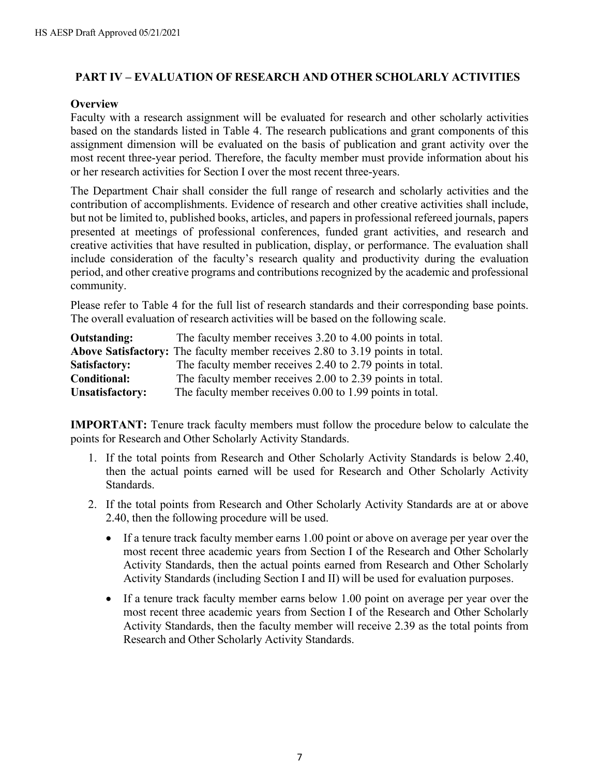# **PART IV – EVALUATION OF RESEARCH AND OTHER SCHOLARLY ACTIVITIES**

#### **Overview**

Faculty with a research assignment will be evaluated for research and other scholarly activities based on the standards listed in Table 4. The research publications and grant components of this assignment dimension will be evaluated on the basis of publication and grant activity over the most recent three-year period. Therefore, the faculty member must provide information about his or her research activities for Section I over the most recent three-years.

The Department Chair shall consider the full range of research and scholarly activities and the contribution of accomplishments. Evidence of research and other creative activities shall include, but not be limited to, published books, articles, and papers in professional refereed journals, papers presented at meetings of professional conferences, funded grant activities, and research and creative activities that have resulted in publication, display, or performance. The evaluation shall include consideration of the faculty's research quality and productivity during the evaluation period, and other creative programs and contributions recognized by the academic and professional community.

Please refer to Table 4 for the full list of research standards and their corresponding base points. The overall evaluation of research activities will be based on the following scale.

| <b>Outstanding:</b> | The faculty member receives 3.20 to 4.00 points in total.                     |
|---------------------|-------------------------------------------------------------------------------|
|                     | Above Satisfactory: The faculty member receives 2.80 to 3.19 points in total. |
| Satisfactory:       | The faculty member receives 2.40 to 2.79 points in total.                     |
| <b>Conditional:</b> | The faculty member receives 2.00 to 2.39 points in total.                     |
| Unsatisfactory:     | The faculty member receives 0.00 to 1.99 points in total.                     |

**IMPORTANT:** Tenure track faculty members must follow the procedure below to calculate the points for Research and Other Scholarly Activity Standards.

- 1. If the total points from Research and Other Scholarly Activity Standards is below 2.40, then the actual points earned will be used for Research and Other Scholarly Activity Standards.
- 2. If the total points from Research and Other Scholarly Activity Standards are at or above 2.40, then the following procedure will be used.
	- If a tenure track faculty member earns 1.00 point or above on average per year over the most recent three academic years from Section I of the Research and Other Scholarly Activity Standards, then the actual points earned from Research and Other Scholarly Activity Standards (including Section I and II) will be used for evaluation purposes.
	- If a tenure track faculty member earns below 1.00 point on average per year over the most recent three academic years from Section I of the Research and Other Scholarly Activity Standards, then the faculty member will receive 2.39 as the total points from Research and Other Scholarly Activity Standards.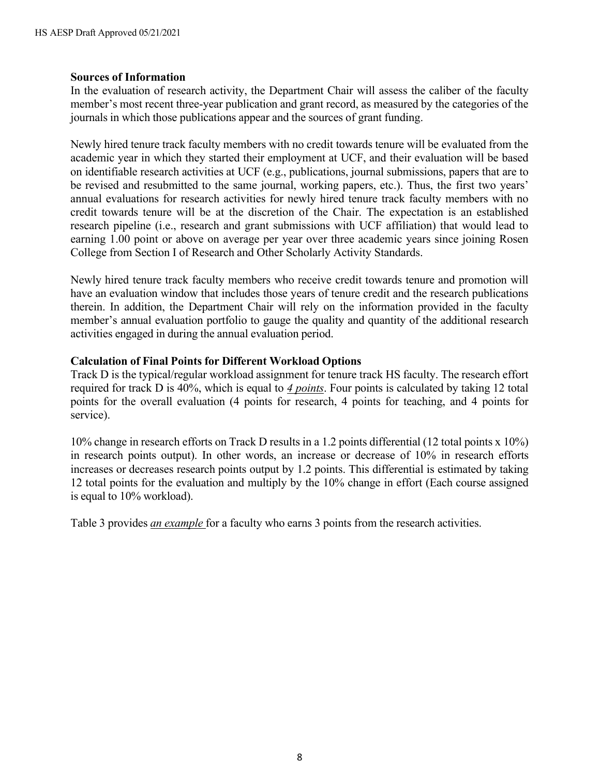#### **Sources of Information**

In the evaluation of research activity, the Department Chair will assess the caliber of the faculty member's most recent three-year publication and grant record, as measured by the categories of the journals in which those publications appear and the sources of grant funding.

Newly hired tenure track faculty members with no credit towards tenure will be evaluated from the academic year in which they started their employment at UCF, and their evaluation will be based on identifiable research activities at UCF (e.g., publications, journal submissions, papers that are to be revised and resubmitted to the same journal, working papers, etc.). Thus, the first two years' annual evaluations for research activities for newly hired tenure track faculty members with no credit towards tenure will be at the discretion of the Chair. The expectation is an established research pipeline (i.e., research and grant submissions with UCF affiliation) that would lead to earning 1.00 point or above on average per year over three academic years since joining Rosen College from Section I of Research and Other Scholarly Activity Standards.

Newly hired tenure track faculty members who receive credit towards tenure and promotion will have an evaluation window that includes those years of tenure credit and the research publications therein. In addition, the Department Chair will rely on the information provided in the faculty member's annual evaluation portfolio to gauge the quality and quantity of the additional research activities engaged in during the annual evaluation period.

# **Calculation of Final Points for Different Workload Options**

Track D is the typical/regular workload assignment for tenure track HS faculty. The research effort required for track D is 40%, which is equal to *4 points*. Four points is calculated by taking 12 total points for the overall evaluation (4 points for research, 4 points for teaching, and 4 points for service).

10% change in research efforts on Track D results in a 1.2 points differential (12 total points x 10%) in research points output). In other words, an increase or decrease of 10% in research efforts increases or decreases research points output by 1.2 points. This differential is estimated by taking 12 total points for the evaluation and multiply by the 10% change in effort (Each course assigned is equal to 10% workload).

Table 3 provides *an example* for a faculty who earns 3 points from the research activities.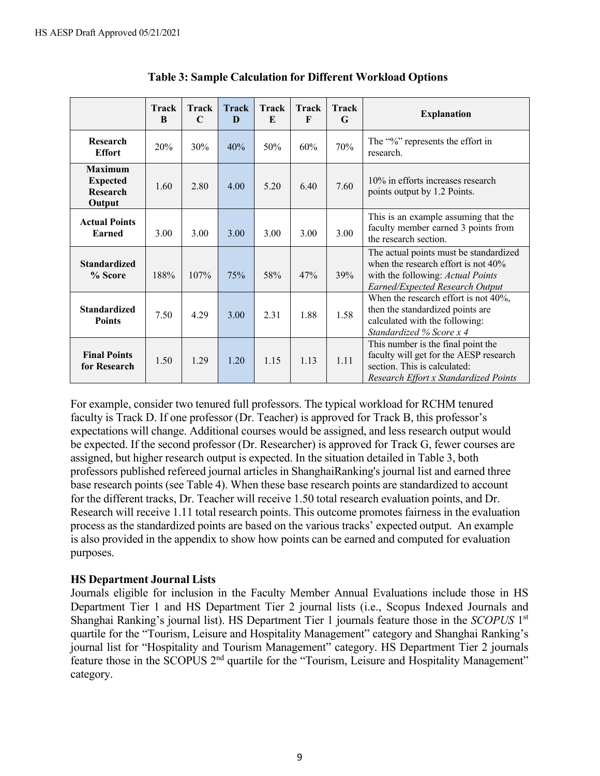|                                                                | Track<br>B | <b>Track</b><br>C | <b>Track</b><br>D | <b>Track</b><br>E | <b>Track</b><br>F | <b>Track</b><br>G | <b>Explanation</b>                                                                                                                                       |
|----------------------------------------------------------------|------------|-------------------|-------------------|-------------------|-------------------|-------------------|----------------------------------------------------------------------------------------------------------------------------------------------------------|
| Research<br><b>Effort</b>                                      | 20%        | 30%               | 40%               | 50%               | 60%               | 70%               | The "%" represents the effort in<br>research.                                                                                                            |
| <b>Maximum</b><br><b>Expected</b><br><b>Research</b><br>Output | 1.60       | 2.80              | 4.00              | 5.20              | 6.40              | 7.60              | 10% in efforts increases research<br>points output by 1.2 Points.                                                                                        |
| <b>Actual Points</b><br>Earned                                 | 3.00       | 3.00              | 3.00              | 3.00              | 3.00              | 3.00              | This is an example assuming that the<br>faculty member earned 3 points from<br>the research section.                                                     |
| <b>Standardized</b><br>% Score                                 | 188%       | 107%              | 75%               | 58%               | 47%               | 39%               | The actual points must be standardized<br>when the research effort is not $40\%$<br>with the following: Actual Points<br>Earned/Expected Research Output |
| <b>Standardized</b><br><b>Points</b>                           | 7.50       | 4.29              | 3.00              | 2.31              | 1.88              | 1.58              | When the research effort is not 40%,<br>then the standardized points are<br>calculated with the following:<br>Standardized % Score x 4                   |
| <b>Final Points</b><br>for Research                            | 1.50       | 1.29              | 1.20              | 1.15              | 1.13              | 1.11              | This number is the final point the<br>faculty will get for the AESP research<br>section. This is calculated:<br>Research Effort x Standardized Points    |

| <b>Table 3: Sample Calculation for Different Workload Options</b> |  |  |
|-------------------------------------------------------------------|--|--|
|-------------------------------------------------------------------|--|--|

For example, consider two tenured full professors. The typical workload for RCHM tenured faculty is Track D. If one professor (Dr. Teacher) is approved for Track B, this professor's expectations will change. Additional courses would be assigned, and less research output would be expected. If the second professor (Dr. Researcher) is approved for Track G, fewer courses are assigned, but higher research output is expected. In the situation detailed in Table 3, both professors published refereed journal articles in ShanghaiRanking's journal list and earned three base research points (see Table 4). When these base research points are standardized to account for the different tracks, Dr. Teacher will receive 1.50 total research evaluation points, and Dr. Research will receive 1.11 total research points. This outcome promotes fairness in the evaluation process as the standardized points are based on the various tracks' expected output. An example is also provided in the appendix to show how points can be earned and computed for evaluation purposes.

#### **HS Department Journal Lists**

Journals eligible for inclusion in the Faculty Member Annual Evaluations include those in HS Department Tier 1 and HS Department Tier 2 journal lists (i.e., Scopus Indexed Journals and Shanghai Ranking's journal list). HS Department Tier 1 journals feature those in the *SCOPUS* 1st quartile for the "Tourism, Leisure and Hospitality Management" category and Shanghai Ranking's journal list for "Hospitality and Tourism Management" category. HS Department Tier 2 journals feature those in the SCOPUS 2<sup>nd</sup> quartile for the "Tourism, Leisure and Hospitality Management" category.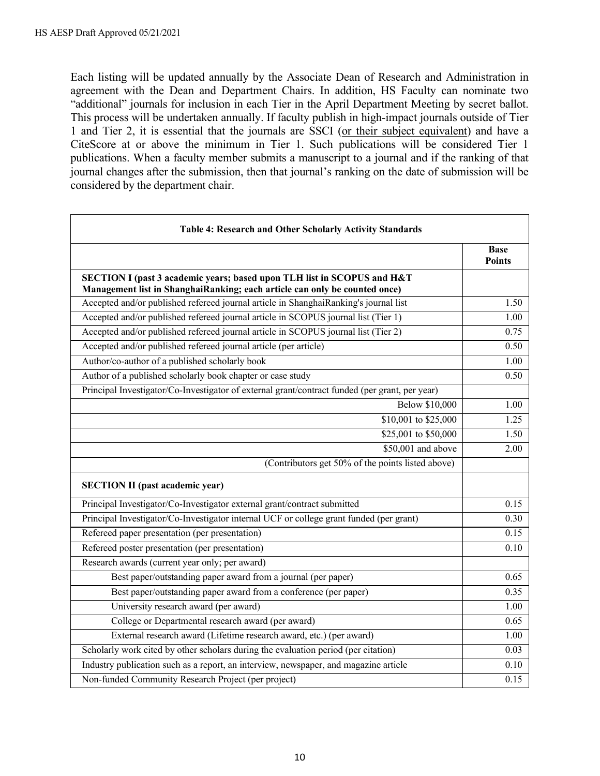Each listing will be updated annually by the Associate Dean of Research and Administration in agreement with the Dean and Department Chairs. In addition, HS Faculty can nominate two "additional" journals for inclusion in each Tier in the April Department Meeting by secret ballot. This process will be undertaken annually. If faculty publish in high-impact journals outside of Tier 1 and Tier 2, it is essential that the journals are SSCI (or their subject equivalent) and have a CiteScore at or above the minimum in Tier 1. Such publications will be considered Tier 1 publications. When a faculty member submits a manuscript to a journal and if the ranking of that journal changes after the submission, then that journal's ranking on the date of submission will be considered by the department chair.

| <b>Table 4: Research and Other Scholarly Activity Standards</b>                                                                                       |                              |  |  |  |
|-------------------------------------------------------------------------------------------------------------------------------------------------------|------------------------------|--|--|--|
|                                                                                                                                                       | <b>Base</b><br><b>Points</b> |  |  |  |
| SECTION I (past 3 academic years; based upon TLH list in SCOPUS and H&T<br>Management list in ShanghaiRanking; each article can only be counted once) |                              |  |  |  |
| Accepted and/or published refereed journal article in ShanghaiRanking's journal list                                                                  | 1.50                         |  |  |  |
| Accepted and/or published refereed journal article in SCOPUS journal list (Tier 1)                                                                    | 1.00                         |  |  |  |
| Accepted and/or published refereed journal article in SCOPUS journal list (Tier 2)                                                                    | 0.75                         |  |  |  |
| Accepted and/or published refereed journal article (per article)                                                                                      | 0.50                         |  |  |  |
| Author/co-author of a published scholarly book                                                                                                        | 1.00                         |  |  |  |
| Author of a published scholarly book chapter or case study                                                                                            | 0.50                         |  |  |  |
| Principal Investigator/Co-Investigator of external grant/contract funded (per grant, per year)                                                        |                              |  |  |  |
| <b>Below \$10,000</b>                                                                                                                                 | 1.00                         |  |  |  |
| \$10,001 to \$25,000                                                                                                                                  | 1.25                         |  |  |  |
| \$25,001 to \$50,000                                                                                                                                  | 1.50                         |  |  |  |
| $$50,001$ and above                                                                                                                                   | 2.00                         |  |  |  |
| (Contributors get 50% of the points listed above)                                                                                                     |                              |  |  |  |
| <b>SECTION II</b> (past academic year)                                                                                                                |                              |  |  |  |
| Principal Investigator/Co-Investigator external grant/contract submitted                                                                              | 0.15                         |  |  |  |
| Principal Investigator/Co-Investigator internal UCF or college grant funded (per grant)                                                               | 0.30                         |  |  |  |
| Refereed paper presentation (per presentation)                                                                                                        | 0.15                         |  |  |  |
| Refereed poster presentation (per presentation)                                                                                                       | 0.10                         |  |  |  |
| Research awards (current year only; per award)                                                                                                        |                              |  |  |  |
| Best paper/outstanding paper award from a journal (per paper)                                                                                         | 0.65                         |  |  |  |
| Best paper/outstanding paper award from a conference (per paper)                                                                                      | 0.35                         |  |  |  |
| University research award (per award)                                                                                                                 | 1.00                         |  |  |  |
| College or Departmental research award (per award)                                                                                                    | 0.65                         |  |  |  |
| External research award (Lifetime research award, etc.) (per award)                                                                                   | 1.00                         |  |  |  |
| Scholarly work cited by other scholars during the evaluation period (per citation)                                                                    | 0.03                         |  |  |  |
| Industry publication such as a report, an interview, newspaper, and magazine article                                                                  | 0.10                         |  |  |  |
| Non-funded Community Research Project (per project)                                                                                                   | 0.15                         |  |  |  |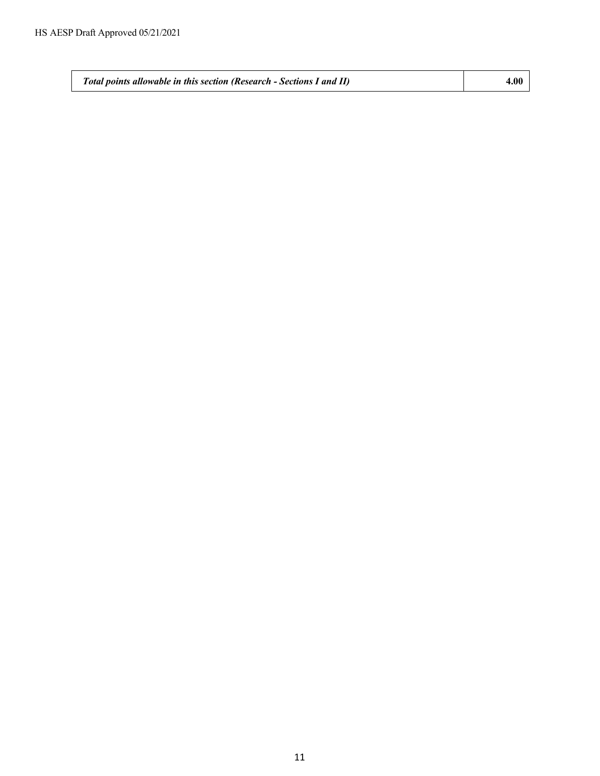*Total points allowable in this section (Research - Sections I and II)* **4.00**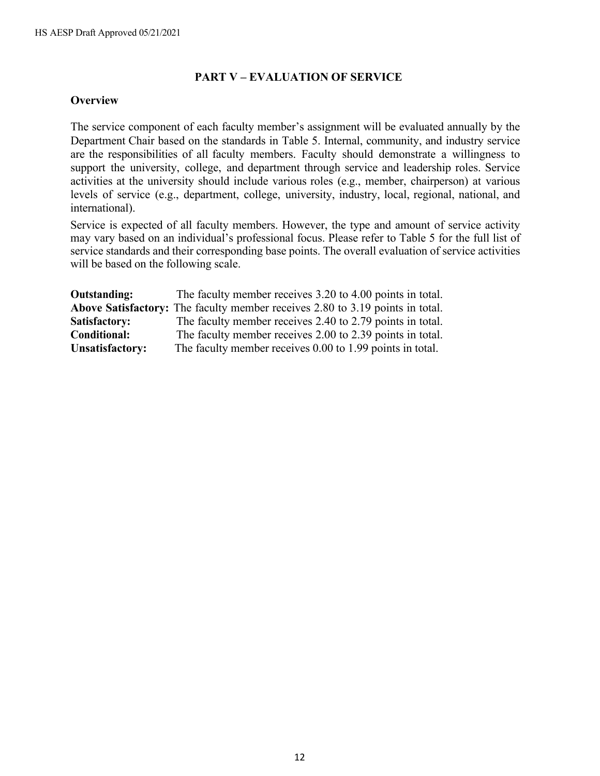#### **PART V – EVALUATION OF SERVICE**

#### **Overview**

The service component of each faculty member's assignment will be evaluated annually by the Department Chair based on the standards in Table 5. Internal, community, and industry service are the responsibilities of all faculty members. Faculty should demonstrate a willingness to support the university, college, and department through service and leadership roles. Service activities at the university should include various roles (e.g., member, chairperson) at various levels of service (e.g., department, college, university, industry, local, regional, national, and international).

Service is expected of all faculty members. However, the type and amount of service activity may vary based on an individual's professional focus. Please refer to Table 5 for the full list of service standards and their corresponding base points. The overall evaluation of service activities will be based on the following scale.

| <b>Outstanding:</b>    | The faculty member receives 3.20 to 4.00 points in total.                     |
|------------------------|-------------------------------------------------------------------------------|
|                        | Above Satisfactory: The faculty member receives 2.80 to 3.19 points in total. |
| Satisfactory:          | The faculty member receives 2.40 to 2.79 points in total.                     |
| <b>Conditional:</b>    | The faculty member receives 2.00 to 2.39 points in total.                     |
| <b>Unsatisfactory:</b> | The faculty member receives 0.00 to 1.99 points in total.                     |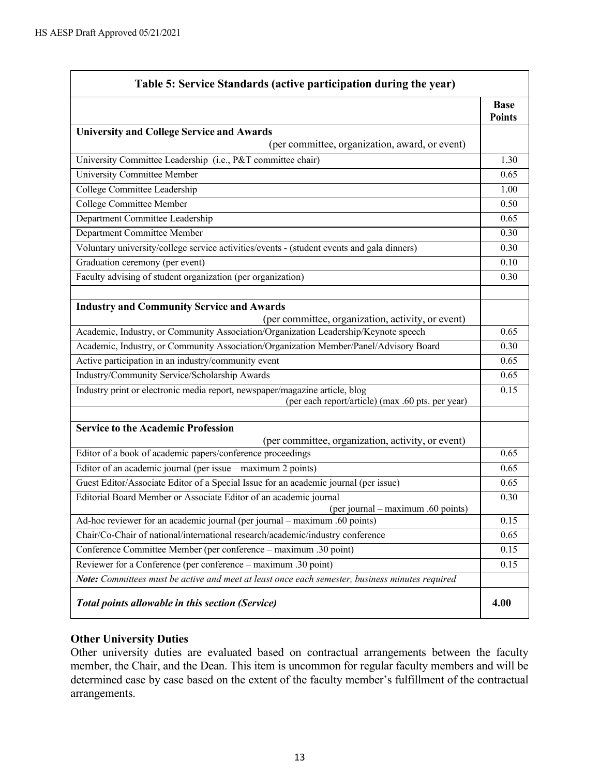| Table 5: Service Standards (active participation during the year)                                               |                              |  |  |  |
|-----------------------------------------------------------------------------------------------------------------|------------------------------|--|--|--|
|                                                                                                                 | <b>Base</b><br><b>Points</b> |  |  |  |
| <b>University and College Service and Awards</b>                                                                |                              |  |  |  |
| (per committee, organization, award, or event)                                                                  |                              |  |  |  |
| University Committee Leadership (i.e., P&T committee chair)                                                     | 1.30                         |  |  |  |
| University Committee Member                                                                                     | 0.65                         |  |  |  |
| College Committee Leadership                                                                                    | 1.00                         |  |  |  |
| <b>College Committee Member</b>                                                                                 | 0.50                         |  |  |  |
| Department Committee Leadership                                                                                 | 0.65                         |  |  |  |
| Department Committee Member                                                                                     | 0.30                         |  |  |  |
| Voluntary university/college service activities/events - (student events and gala dinners)                      | 0.30                         |  |  |  |
| Graduation ceremony (per event)                                                                                 | 0.10                         |  |  |  |
| Faculty advising of student organization (per organization)                                                     | 0.30                         |  |  |  |
|                                                                                                                 |                              |  |  |  |
| <b>Industry and Community Service and Awards</b>                                                                |                              |  |  |  |
| (per committee, organization, activity, or event)                                                               |                              |  |  |  |
| Academic, Industry, or Community Association/Organization Leadership/Keynote speech                             | 0.65                         |  |  |  |
| Academic, Industry, or Community Association/Organization Member/Panel/Advisory Board                           | 0.30                         |  |  |  |
| Active participation in an industry/community event                                                             | 0.65                         |  |  |  |
| Industry/Community Service/Scholarship Awards                                                                   | 0.65                         |  |  |  |
| Industry print or electronic media report, newspaper/magazine article, blog                                     | 0.15                         |  |  |  |
| (per each report/article) (max .60 pts. per year)                                                               |                              |  |  |  |
|                                                                                                                 |                              |  |  |  |
| <b>Service to the Academic Profession</b>                                                                       |                              |  |  |  |
| (per committee, organization, activity, or event)<br>Editor of a book of academic papers/conference proceedings | 0.65                         |  |  |  |
| Editor of an academic journal (per issue - maximum 2 points)                                                    | 0.65                         |  |  |  |
| Guest Editor/Associate Editor of a Special Issue for an academic journal (per issue)                            | 0.65                         |  |  |  |
| Editorial Board Member or Associate Editor of an academic journal                                               | 0.30                         |  |  |  |
| (per journal – maximum .60 points)                                                                              |                              |  |  |  |
| Ad-hoc reviewer for an academic journal (per journal – maximum .60 points)                                      | 0.15                         |  |  |  |
| Chair/Co-Chair of national/international research/academic/industry conference                                  | 0.65                         |  |  |  |
| Conference Committee Member (per conference – maximum .30 point)                                                | 0.15                         |  |  |  |
| Reviewer for a Conference (per conference - maximum .30 point)                                                  | 0.15                         |  |  |  |
| Note: Committees must be active and meet at least once each semester, business minutes required                 |                              |  |  |  |
| <b>Total points allowable in this section (Service)</b>                                                         | 4.00                         |  |  |  |

# **Other University Duties**

Other university duties are evaluated based on contractual arrangements between the faculty member, the Chair, and the Dean. This item is uncommon for regular faculty members and will be determined case by case based on the extent of the faculty member's fulfillment of the contractual arrangements.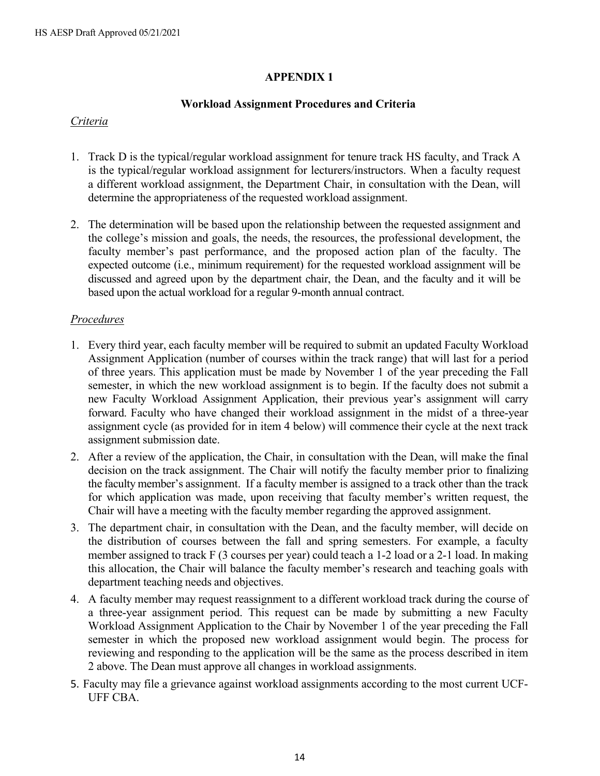#### **APPENDIX 1**

#### **Workload Assignment Procedures and Criteria**

#### *Criteria*

- 1. Track D is the typical/regular workload assignment for tenure track HS faculty, and Track A is the typical/regular workload assignment for lecturers/instructors. When a faculty request a different workload assignment, the Department Chair, in consultation with the Dean, will determine the appropriateness of the requested workload assignment.
- 2. The determination will be based upon the relationship between the requested assignment and the college's mission and goals, the needs, the resources, the professional development, the faculty member's past performance, and the proposed action plan of the faculty. The expected outcome (i.e., minimum requirement) for the requested workload assignment will be discussed and agreed upon by the department chair, the Dean, and the faculty and it will be based upon the actual workload for a regular 9-month annual contract.

#### *Procedures*

- 1. Every third year, each faculty member will be required to submit an updated Faculty Workload Assignment Application (number of courses within the track range) that will last for a period of three years. This application must be made by November 1 of the year preceding the Fall semester, in which the new workload assignment is to begin. If the faculty does not submit a new Faculty Workload Assignment Application, their previous year's assignment will carry forward. Faculty who have changed their workload assignment in the midst of a three-year assignment cycle (as provided for in item 4 below) will commence their cycle at the next track assignment submission date.
- 2. After a review of the application, the Chair, in consultation with the Dean, will make the final decision on the track assignment. The Chair will notify the faculty member prior to finalizing the faculty member's assignment. If a faculty member is assigned to a track other than the track for which application was made, upon receiving that faculty member's written request, the Chair will have a meeting with the faculty member regarding the approved assignment.
- 3. The department chair, in consultation with the Dean, and the faculty member, will decide on the distribution of courses between the fall and spring semesters. For example, a faculty member assigned to track F (3 courses per year) could teach a 1-2 load or a 2-1 load. In making this allocation, the Chair will balance the faculty member's research and teaching goals with department teaching needs and objectives.
- 4. A faculty member may request reassignment to a different workload track during the course of a three-year assignment period. This request can be made by submitting a new Faculty Workload Assignment Application to the Chair by November 1 of the year preceding the Fall semester in which the proposed new workload assignment would begin. The process for reviewing and responding to the application will be the same as the process described in item 2 above. The Dean must approve all changes in workload assignments.
- 5. Faculty may file a grievance against workload assignments according to the most current UCF-UFF CBA.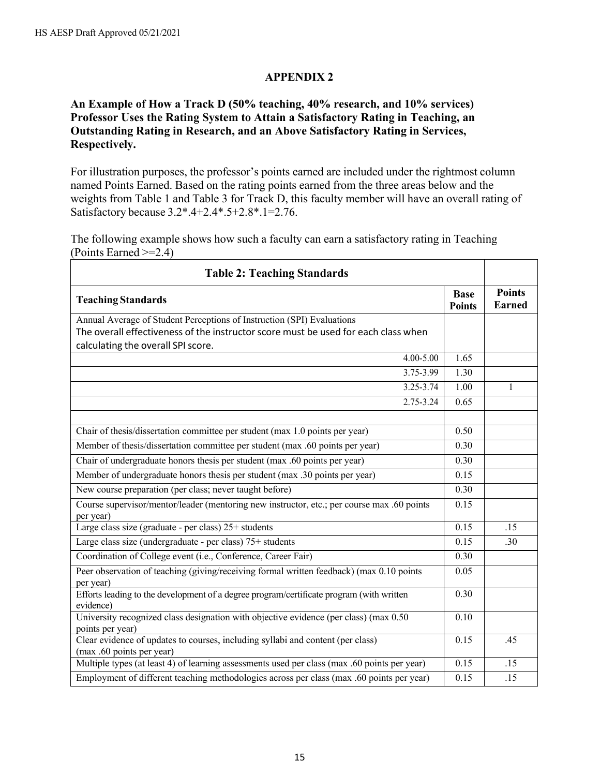#### **APPENDIX 2**

# **An Example of How a Track D (50% teaching, 40% research, and 10% services) Professor Uses the Rating System to Attain a Satisfactory Rating in Teaching, an Outstanding Rating in Research, and an Above Satisfactory Rating in Services, Respectively.**

For illustration purposes, the professor's points earned are included under the rightmost column named Points Earned. Based on the rating points earned from the three areas below and the weights from Table 1 and Table 3 for Track D, this faculty member will have an overall rating of Satisfactory because 3.2\*.4+2.4\*.5+2.8\*.1=2.76.

The following example shows how such a faculty can earn a satisfactory rating in Teaching (Points Earned >=2.4)

| <b>Table 2: Teaching Standards</b>                                                                                       |                              |                                |  |  |
|--------------------------------------------------------------------------------------------------------------------------|------------------------------|--------------------------------|--|--|
| <b>Teaching Standards</b>                                                                                                | <b>Base</b><br><b>Points</b> | <b>Points</b><br><b>Earned</b> |  |  |
| Annual Average of Student Perceptions of Instruction (SPI) Evaluations                                                   |                              |                                |  |  |
| The overall effectiveness of the instructor score must be used for each class when<br>calculating the overall SPI score. |                              |                                |  |  |
| 4.00-5.00                                                                                                                | 1.65                         |                                |  |  |
| $3.75 - 3.99$                                                                                                            | 1.30                         |                                |  |  |
| 3.25-3.74                                                                                                                | 1.00                         | 1                              |  |  |
| 2.75-3.24                                                                                                                | 0.65                         |                                |  |  |
| Chair of thesis/dissertation committee per student (max 1.0 points per year)                                             | 0.50                         |                                |  |  |
| Member of thesis/dissertation committee per student (max .60 points per year)                                            | 0.30                         |                                |  |  |
| Chair of undergraduate honors thesis per student (max .60 points per year)                                               | 0.30                         |                                |  |  |
| Member of undergraduate honors thesis per student (max .30 points per year)                                              | 0.15                         |                                |  |  |
| New course preparation (per class; never taught before)                                                                  | 0.30                         |                                |  |  |
| Course supervisor/mentor/leader (mentoring new instructor, etc.; per course max .60 points                               | 0.15                         |                                |  |  |
| per year)                                                                                                                |                              |                                |  |  |
| Large class size (graduate - per class) 25+ students                                                                     | 0.15                         | .15                            |  |  |
| Large class size (undergraduate - per class) 75+ students                                                                | 0.15                         | .30                            |  |  |
| Coordination of College event (i.e., Conference, Career Fair)                                                            | 0.30                         |                                |  |  |
| Peer observation of teaching (giving/receiving formal written feedback) (max 0.10 points<br>per year)                    | 0.05                         |                                |  |  |
| Efforts leading to the development of a degree program/certificate program (with written<br>evidence)                    | 0.30                         |                                |  |  |
| University recognized class designation with objective evidence (per class) (max 0.50<br>points per year)                | 0.10                         |                                |  |  |
| Clear evidence of updates to courses, including syllabi and content (per class)<br>(max .60 points per year)             | 0.15                         | .45                            |  |  |
| Multiple types (at least 4) of learning assessments used per class (max .60 points per year)                             | 0.15                         | .15                            |  |  |
| Employment of different teaching methodologies across per class (max .60 points per year)                                | 0.15                         | .15                            |  |  |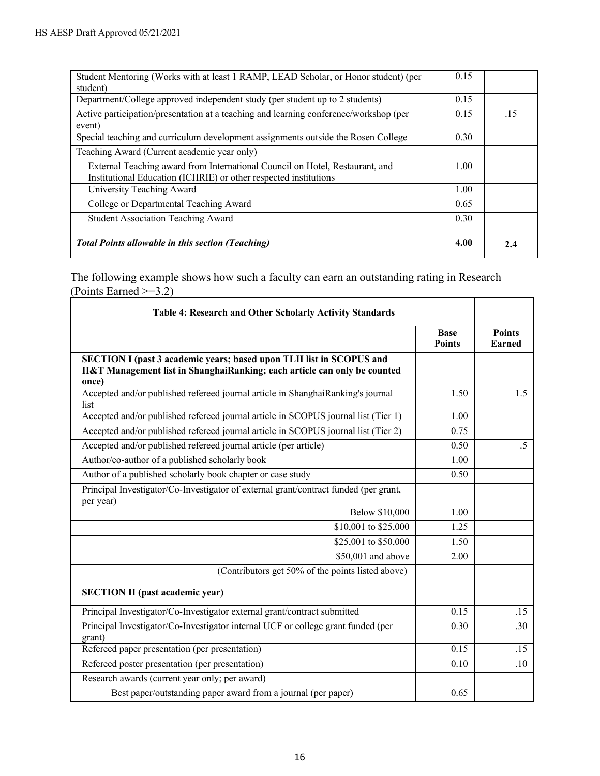| Student Mentoring (Works with at least 1 RAMP, LEAD Scholar, or Honor student) (per<br>student)                                                  | 0.15 |     |
|--------------------------------------------------------------------------------------------------------------------------------------------------|------|-----|
| Department/College approved independent study (per student up to 2 students)                                                                     | 0.15 |     |
| Active participation/presentation at a teaching and learning conference/workshop (per<br>event)                                                  | 0.15 | .15 |
| Special teaching and curriculum development assignments outside the Rosen College                                                                | 0.30 |     |
| Teaching Award (Current academic year only)                                                                                                      |      |     |
| External Teaching award from International Council on Hotel, Restaurant, and<br>Institutional Education (ICHRIE) or other respected institutions | 1.00 |     |
| University Teaching Award                                                                                                                        | 1.00 |     |
| College or Departmental Teaching Award                                                                                                           | 0.65 |     |
| <b>Student Association Teaching Award</b>                                                                                                        | 0.30 |     |
| <b>Total Points allowable in this section (Teaching)</b>                                                                                         | 4.00 | 2.4 |

The following example shows how such a faculty can earn an outstanding rating in Research (Points Earned >=3.2)

| Table 4: Research and Other Scholarly Activity Standards                                                                                                 |                              |                                |
|----------------------------------------------------------------------------------------------------------------------------------------------------------|------------------------------|--------------------------------|
|                                                                                                                                                          | <b>Base</b><br><b>Points</b> | <b>Points</b><br><b>Earned</b> |
| SECTION I (past 3 academic years; based upon TLH list in SCOPUS and<br>H&T Management list in ShanghaiRanking; each article can only be counted<br>once) |                              |                                |
| Accepted and/or published refereed journal article in ShanghaiRanking's journal<br>list                                                                  | 1.50                         | 1.5                            |
| Accepted and/or published refereed journal article in SCOPUS journal list (Tier 1)                                                                       | 1.00                         |                                |
| Accepted and/or published refereed journal article in SCOPUS journal list (Tier 2)                                                                       | 0.75                         |                                |
| Accepted and/or published refereed journal article (per article)                                                                                         | 0.50                         | $.5\,$                         |
| Author/co-author of a published scholarly book                                                                                                           | 1.00                         |                                |
| Author of a published scholarly book chapter or case study                                                                                               | 0.50                         |                                |
| Principal Investigator/Co-Investigator of external grant/contract funded (per grant,<br>per year)                                                        |                              |                                |
| <b>Below \$10,000</b>                                                                                                                                    | 1.00                         |                                |
| \$10,001 to \$25,000                                                                                                                                     | 1.25                         |                                |
| \$25,001 to \$50,000                                                                                                                                     | 1.50                         |                                |
| $$50,001$ and above                                                                                                                                      | 2.00                         |                                |
| (Contributors get 50% of the points listed above)                                                                                                        |                              |                                |
| <b>SECTION II</b> (past academic year)                                                                                                                   |                              |                                |
| Principal Investigator/Co-Investigator external grant/contract submitted                                                                                 | 0.15                         | .15                            |
| Principal Investigator/Co-Investigator internal UCF or college grant funded (per<br>grant)                                                               | 0.30                         | .30                            |
| Refereed paper presentation (per presentation)                                                                                                           | 0.15                         | .15                            |
| Refereed poster presentation (per presentation)                                                                                                          | 0.10                         | .10                            |
| Research awards (current year only; per award)                                                                                                           |                              |                                |
| Best paper/outstanding paper award from a journal (per paper)                                                                                            | 0.65                         |                                |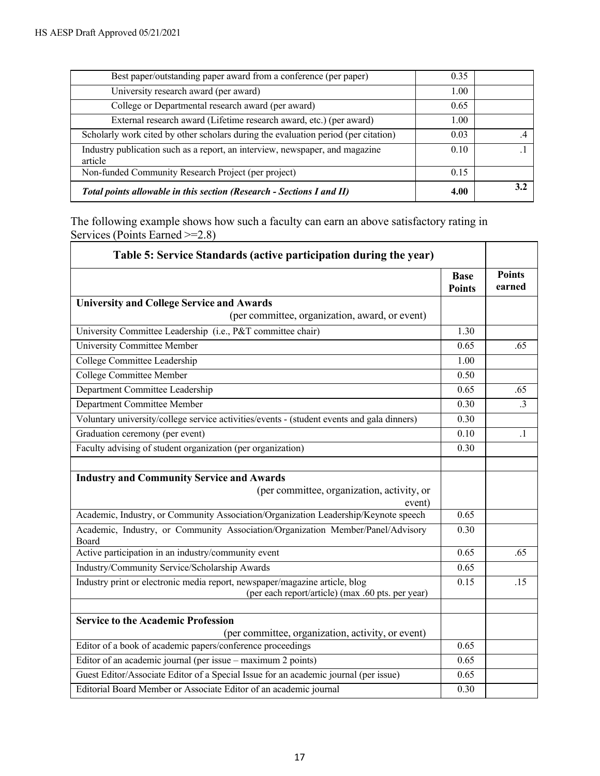| Best paper/outstanding paper award from a conference (per paper)                        | 0.35 |     |
|-----------------------------------------------------------------------------------------|------|-----|
| University research award (per award)                                                   | 1.00 |     |
| College or Departmental research award (per award)                                      | 0.65 |     |
| External research award (Lifetime research award, etc.) (per award)                     | 1.00 |     |
| Scholarly work cited by other scholars during the evaluation period (per citation)      | 0.03 |     |
| Industry publication such as a report, an interview, newspaper, and magazine<br>article | 0.10 |     |
| Non-funded Community Research Project (per project)                                     | 0.15 |     |
| Total points allowable in this section (Research - Sections I and II)                   | 4.00 | 3.2 |

The following example shows how such a faculty can earn an above satisfactory rating in Services (Points Earned >= 2.8)

| Table 5: Service Standards (active participation during the year)                                                                |                              |                         |
|----------------------------------------------------------------------------------------------------------------------------------|------------------------------|-------------------------|
|                                                                                                                                  | <b>Base</b><br><b>Points</b> | <b>Points</b><br>earned |
| <b>University and College Service and Awards</b>                                                                                 |                              |                         |
| (per committee, organization, award, or event)                                                                                   |                              |                         |
| University Committee Leadership (i.e., P&T committee chair)                                                                      | 1.30                         |                         |
| <b>University Committee Member</b>                                                                                               | 0.65                         | .65                     |
| College Committee Leadership                                                                                                     | 1.00                         |                         |
| <b>College Committee Member</b>                                                                                                  | 0.50                         |                         |
| Department Committee Leadership                                                                                                  | 0.65                         | .65                     |
| Department Committee Member                                                                                                      | 0.30                         | $\cdot$ 3               |
| Voluntary university/college service activities/events - (student events and gala dinners)                                       | 0.30                         |                         |
| Graduation ceremony (per event)                                                                                                  | 0.10                         | $\cdot$                 |
| Faculty advising of student organization (per organization)                                                                      | 0.30                         |                         |
|                                                                                                                                  |                              |                         |
| <b>Industry and Community Service and Awards</b>                                                                                 |                              |                         |
| (per committee, organization, activity, or<br>event)                                                                             |                              |                         |
| Academic, Industry, or Community Association/Organization Leadership/Keynote speech                                              | 0.65                         |                         |
| Academic, Industry, or Community Association/Organization Member/Panel/Advisory<br>Board                                         | 0.30                         |                         |
| Active participation in an industry/community event                                                                              | 0.65                         | .65                     |
| Industry/Community Service/Scholarship Awards                                                                                    | 0.65                         |                         |
| Industry print or electronic media report, newspaper/magazine article, blog<br>(per each report/article) (max .60 pts. per year) | 0.15                         | .15                     |
|                                                                                                                                  |                              |                         |
| <b>Service to the Academic Profession</b>                                                                                        |                              |                         |
| (per committee, organization, activity, or event)                                                                                |                              |                         |
| Editor of a book of academic papers/conference proceedings                                                                       | 0.65                         |                         |
| Editor of an academic journal (per issue - maximum 2 points)                                                                     | 0.65                         |                         |
| Guest Editor/Associate Editor of a Special Issue for an academic journal (per issue)                                             | 0.65                         |                         |
| Editorial Board Member or Associate Editor of an academic journal                                                                | 0.30                         |                         |